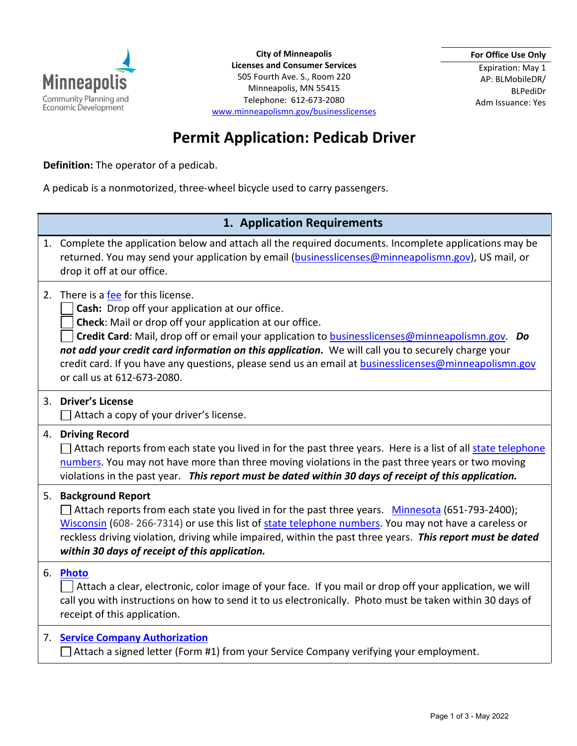

**City of Minneapolis Licenses and Consumer Services**  505 Fourth Ave. S., Room 220 Minneapolis, MN 55415 Telephone: 612-673-2080 [www.minneapolismn.gov/businesslicenses](https://www2.minneapolismn.gov/business-services/licenses-permits/business-licenses/) **For Office Use Only**

Expiration: May 1 AP: BLMobileDR/ BLPediDr Adm Issuance: Yes

## **Permit Application: Pedicab Driver**

**Definition:** The operator of a pedicab.

A pedicab is a nonmotorized, three-wheel bicycle used to carry passengers.

## **1. Application Requirements**

|    | 1. Complete the application below and attach all the required documents. Incomplete applications may be<br>returned. You may send your application by email (businesslicenses@minneapolismn.gov), US mail, or<br>drop it off at our office.                                                                                                                                                                                                                                                                     |
|----|-----------------------------------------------------------------------------------------------------------------------------------------------------------------------------------------------------------------------------------------------------------------------------------------------------------------------------------------------------------------------------------------------------------------------------------------------------------------------------------------------------------------|
|    | 2. There is a fee for this license.<br>Cash: Drop off your application at our office.<br>Check: Mail or drop off your application at our office.<br>Credit Card: Mail, drop off or email your application to <b>businesslicenses@minneapolismn.gov.</b> Do<br>not add your credit card information on this application. We will call you to securely charge your<br>credit card. If you have any questions, please send us an email at <b>businesslicenses@minneapolismn.gov</b><br>or call us at 612-673-2080. |
|    | 3. Driver's License<br>Attach a copy of your driver's license.                                                                                                                                                                                                                                                                                                                                                                                                                                                  |
|    | 4. Driving Record<br>Attach reports from each state you lived in for the past three years. Here is a list of all state telephone<br>numbers. You may not have more than three moving violations in the past three years or two moving<br>violations in the past year. This report must be dated within 30 days of receipt of this application.                                                                                                                                                                  |
|    | 5. Background Report<br>Attach reports from each state you lived in for the past three years. Minnesota (651-793-2400);<br>Wisconsin (608-266-7314) or use this list of state telephone numbers. You may not have a careless or<br>reckless driving violation, driving while impaired, within the past three years. This report must be dated<br>within 30 days of receipt of this application.                                                                                                                 |
| 6. | <b>Photo</b><br>Attach a clear, electronic, color image of your face. If you mail or drop off your application, we will<br>call you with instructions on how to send it to us electronically. Photo must be taken within 30 days of<br>receipt of this application.                                                                                                                                                                                                                                             |
|    | 7. Service Company Authorization<br>Attach a signed letter (Form #1) from your Service Company verifying your employment.                                                                                                                                                                                                                                                                                                                                                                                       |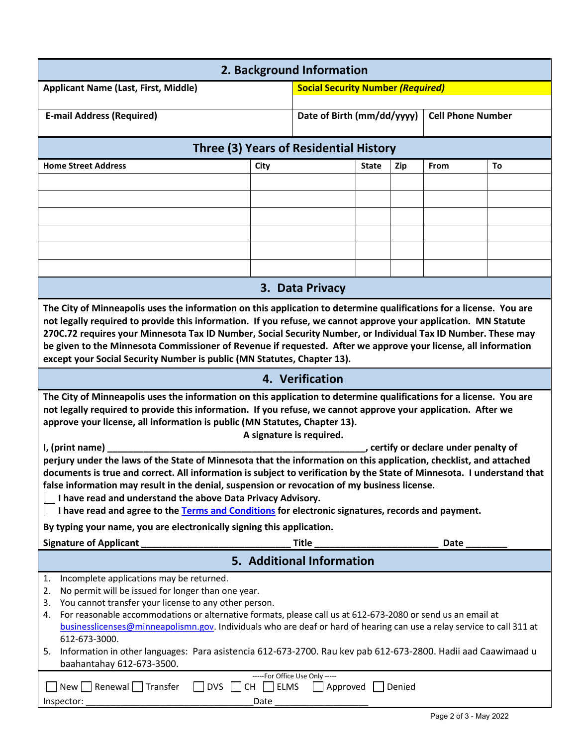| 2. Background Information                                                                                                                                                                                                                                                                                                                                                                                                                                                                                                                                                                                                                                                                                                                                |                                          |                            |              |                          |             |    |  |  |
|----------------------------------------------------------------------------------------------------------------------------------------------------------------------------------------------------------------------------------------------------------------------------------------------------------------------------------------------------------------------------------------------------------------------------------------------------------------------------------------------------------------------------------------------------------------------------------------------------------------------------------------------------------------------------------------------------------------------------------------------------------|------------------------------------------|----------------------------|--------------|--------------------------|-------------|----|--|--|
| <b>Applicant Name (Last, First, Middle)</b>                                                                                                                                                                                                                                                                                                                                                                                                                                                                                                                                                                                                                                                                                                              | <b>Social Security Number (Required)</b> |                            |              |                          |             |    |  |  |
| <b>E-mail Address (Required)</b>                                                                                                                                                                                                                                                                                                                                                                                                                                                                                                                                                                                                                                                                                                                         |                                          | Date of Birth (mm/dd/yyyy) |              | <b>Cell Phone Number</b> |             |    |  |  |
| Three (3) Years of Residential History                                                                                                                                                                                                                                                                                                                                                                                                                                                                                                                                                                                                                                                                                                                   |                                          |                            |              |                          |             |    |  |  |
| <b>Home Street Address</b><br>City                                                                                                                                                                                                                                                                                                                                                                                                                                                                                                                                                                                                                                                                                                                       |                                          |                            | <b>State</b> | Zip                      | <b>From</b> | To |  |  |
|                                                                                                                                                                                                                                                                                                                                                                                                                                                                                                                                                                                                                                                                                                                                                          |                                          |                            |              |                          |             |    |  |  |
|                                                                                                                                                                                                                                                                                                                                                                                                                                                                                                                                                                                                                                                                                                                                                          |                                          |                            |              |                          |             |    |  |  |
|                                                                                                                                                                                                                                                                                                                                                                                                                                                                                                                                                                                                                                                                                                                                                          |                                          |                            |              |                          |             |    |  |  |
|                                                                                                                                                                                                                                                                                                                                                                                                                                                                                                                                                                                                                                                                                                                                                          |                                          |                            |              |                          |             |    |  |  |
|                                                                                                                                                                                                                                                                                                                                                                                                                                                                                                                                                                                                                                                                                                                                                          |                                          |                            |              |                          |             |    |  |  |
|                                                                                                                                                                                                                                                                                                                                                                                                                                                                                                                                                                                                                                                                                                                                                          |                                          | 3. Data Privacy            |              |                          |             |    |  |  |
| The City of Minneapolis uses the information on this application to determine qualifications for a license. You are<br>not legally required to provide this information. If you refuse, we cannot approve your application. MN Statute<br>270C.72 requires your Minnesota Tax ID Number, Social Security Number, or Individual Tax ID Number. These may<br>be given to the Minnesota Commissioner of Revenue if requested. After we approve your license, all information<br>except your Social Security Number is public (MN Statutes, Chapter 13).                                                                                                                                                                                                     |                                          |                            |              |                          |             |    |  |  |
| 4. Verification                                                                                                                                                                                                                                                                                                                                                                                                                                                                                                                                                                                                                                                                                                                                          |                                          |                            |              |                          |             |    |  |  |
| The City of Minneapolis uses the information on this application to determine qualifications for a license. You are<br>not legally required to provide this information. If you refuse, we cannot approve your application. After we<br>approve your license, all information is public (MN Statutes, Chapter 13).<br>A signature is required.<br>I, (print name)<br>certify or declare under penalty of<br>perjury under the laws of the State of Minnesota that the information on this application, checklist, and attached<br>documents is true and correct. All information is subject to verification by the State of Minnesota. I understand that<br>false information may result in the denial, suspension or revocation of my business license. |                                          |                            |              |                          |             |    |  |  |
| I have read and understand the above Data Privacy Advisory.<br>I have read and agree to the Terms and Conditions for electronic signatures, records and payment.                                                                                                                                                                                                                                                                                                                                                                                                                                                                                                                                                                                         |                                          |                            |              |                          |             |    |  |  |
| By typing your name, you are electronically signing this application.                                                                                                                                                                                                                                                                                                                                                                                                                                                                                                                                                                                                                                                                                    |                                          |                            |              |                          |             |    |  |  |
| <b>Signature of Applicant</b>                                                                                                                                                                                                                                                                                                                                                                                                                                                                                                                                                                                                                                                                                                                            |                                          | <b>Title</b>               |              |                          | Date        |    |  |  |
| 5. Additional Information                                                                                                                                                                                                                                                                                                                                                                                                                                                                                                                                                                                                                                                                                                                                |                                          |                            |              |                          |             |    |  |  |
| Incomplete applications may be returned.<br>1.<br>No permit will be issued for longer than one year.<br>2.<br>You cannot transfer your license to any other person.<br>3.<br>For reasonable accommodations or alternative formats, please call us at 612-673-2080 or send us an email at<br>4.<br>businesslicenses@minneapolismn.gov. Individuals who are deaf or hard of hearing can use a relay service to call 311 at<br>612-673-3000.<br>5. Information in other languages: Para asistencia 612-673-2700. Rau kev pab 612-673-2800. Hadii aad Caawimaad u<br>baahantahay 612-673-3500.                                                                                                                                                               |                                          |                            |              |                          |             |    |  |  |
| -----For Office Use Only -----<br>Renewal Transfer<br><b>DVS</b><br><b>ELMS</b><br>New  <br><b>CH</b><br>Approved<br>Denied<br>Inspector:<br>Date                                                                                                                                                                                                                                                                                                                                                                                                                                                                                                                                                                                                        |                                          |                            |              |                          |             |    |  |  |